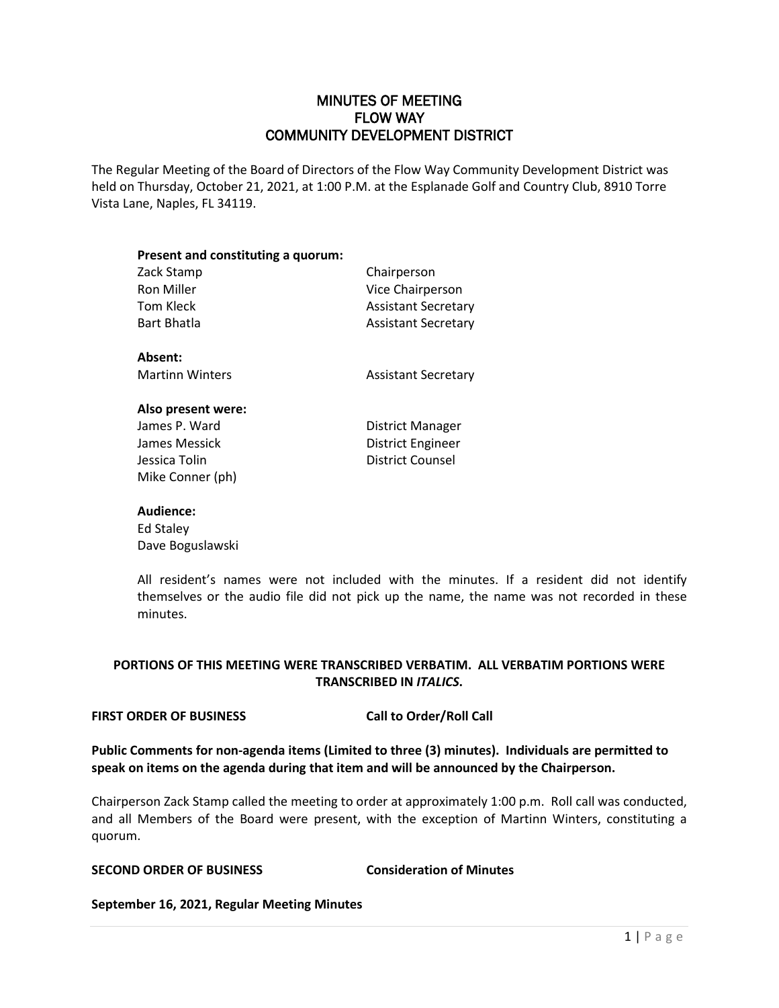# MINUTES OF MEETING FLOW WAY COMMUNITY DEVELOPMENT DISTRICT

The Regular Meeting of the Board of Directors of the Flow Way Community Development District was held on Thursday, October 21, 2021, at 1:00 P.M. at the Esplanade Golf and Country Club, 8910 Torre Vista Lane, Naples, FL 34119.

| Present and constituting a quorum: |                            |
|------------------------------------|----------------------------|
| Zack Stamp                         | Chairperson                |
| Ron Miller                         | Vice Chairperson           |
| Tom Kleck                          | <b>Assistant Secretary</b> |
| Bart Bhatla                        | <b>Assistant Secretary</b> |
| Absent:                            |                            |
| <b>Martinn Winters</b>             | <b>Assistant Secretary</b> |
| Also present were:                 |                            |
| James P. Ward                      | District Manager           |

| James P. Ward    |
|------------------|
| James Messick    |
| Jessica Tolin    |
| Mike Conner (ph) |

District Engineer District Counsel

## **Audience:**

Ed Staley Dave Boguslawski

All resident's names were not included with the minutes. If a resident did not identify themselves or the audio file did not pick up the name, the name was not recorded in these minutes.

# **PORTIONS OF THIS MEETING WERE TRANSCRIBED VERBATIM. ALL VERBATIM PORTIONS WERE TRANSCRIBED IN** *ITALICS***.**

## **FIRST ORDER OF BUSINESS Call to Order/Roll Call**

**Public Comments for non-agenda items (Limited to three (3) minutes). Individuals are permitted to speak on items on the agenda during that item and will be announced by the Chairperson.**

Chairperson Zack Stamp called the meeting to order at approximately 1:00 p.m. Roll call was conducted, and all Members of the Board were present, with the exception of Martinn Winters, constituting a quorum.

# **SECOND ORDER OF BUSINESS Consideration of Minutes**

**September 16, 2021, Regular Meeting Minutes**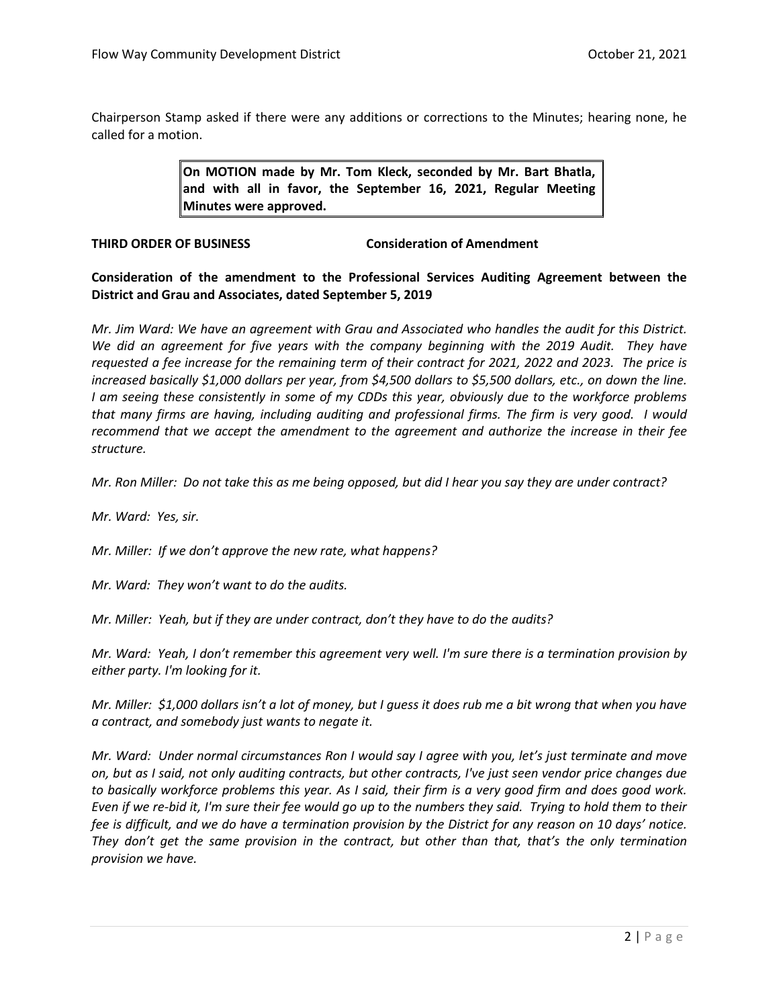Chairperson Stamp asked if there were any additions or corrections to the Minutes; hearing none, he called for a motion.

> **On MOTION made by Mr. Tom Kleck, seconded by Mr. Bart Bhatla, and with all in favor, the September 16, 2021, Regular Meeting Minutes were approved.**

**THIRD ORDER OF BUSINESS Consideration of Amendment**

**Consideration of the amendment to the Professional Services Auditing Agreement between the District and Grau and Associates, dated September 5, 2019**

*Mr. Jim Ward: We have an agreement with Grau and Associated who handles the audit for this District. We did an agreement for five years with the company beginning with the 2019 Audit. They have requested a fee increase for the remaining term of their contract for 2021, 2022 and 2023. The price is increased basically \$1,000 dollars per year, from \$4,500 dollars to \$5,500 dollars, etc., on down the line. I am seeing these consistently in some of my CDDs this year, obviously due to the workforce problems that many firms are having, including auditing and professional firms. The firm is very good. I would recommend that we accept the amendment to the agreement and authorize the increase in their fee structure.* 

*Mr. Ron Miller: Do not take this as me being opposed, but did I hear you say they are under contract?* 

*Mr. Ward: Yes, sir.*

*Mr. Miller: If we don't approve the new rate, what happens?*

*Mr. Ward: They won't want to do the audits.* 

*Mr. Miller: Yeah, but if they are under contract, don't they have to do the audits?*

*Mr. Ward: Yeah, I don't remember this agreement very well. I'm sure there is a termination provision by either party. I'm looking for it.*

*Mr. Miller: \$1,000 dollars isn't a lot of money, but I guess it does rub me a bit wrong that when you have a contract, and somebody just wants to negate it.*

*Mr. Ward: Under normal circumstances Ron I would say I agree with you, let's just terminate and move on, but as I said, not only auditing contracts, but other contracts, I've just seen vendor price changes due to basically workforce problems this year. As I said, their firm is a very good firm and does good work. Even if we re-bid it, I'm sure their fee would go up to the numbers they said. Trying to hold them to their fee is difficult, and we do have a termination provision by the District for any reason on 10 days' notice. They don't get the same provision in the contract, but other than that, that's the only termination provision we have.*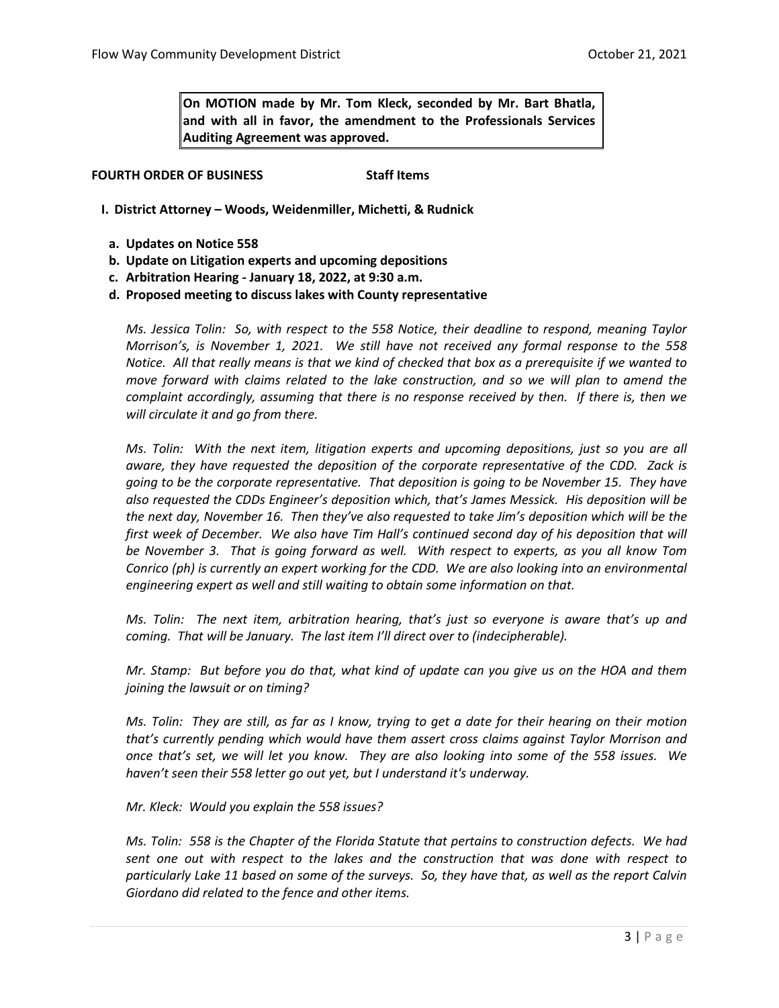**On MOTION made by Mr. Tom Kleck, seconded by Mr. Bart Bhatla, and with all in favor, the amendment to the Professionals Services Auditing Agreement was approved.** 

**FOURTH ORDER OF BUSINESS Staff Items** 

- **I. District Attorney – Woods, Weidenmiller, Michetti, & Rudnick**
- **a. Updates on Notice 558**
- **b. Update on Litigation experts and upcoming depositions**
- **c. Arbitration Hearing - January 18, 2022, at 9:30 a.m.**

**d. Proposed meeting to discuss lakes with County representative**

*Ms. Jessica Tolin: So, with respect to the 558 Notice, their deadline to respond, meaning Taylor Morrison's, is November 1, 2021. We still have not received any formal response to the 558 Notice. All that really means is that we kind of checked that box as a prerequisite if we wanted to move forward with claims related to the lake construction, and so we will plan to amend the complaint accordingly, assuming that there is no response received by then. If there is, then we will circulate it and go from there.* 

*Ms. Tolin: With the next item, litigation experts and upcoming depositions, just so you are all aware, they have requested the deposition of the corporate representative of the CDD. Zack is going to be the corporate representative. That deposition is going to be November 15. They have also requested the CDDs Engineer's deposition which, that's James Messick. His deposition will be the next day, November 16. Then they've also requested to take Jim's deposition which will be the first week of December. We also have Tim Hall's continued second day of his deposition that will be November 3. That is going forward as well. With respect to experts, as you all know Tom Conrico (ph) is currently an expert working for the CDD. We are also looking into an environmental engineering expert as well and still waiting to obtain some information on that.* 

*Ms. Tolin: The next item, arbitration hearing, that's just so everyone is aware that's up and coming. That will be January. The last item I'll direct over to (indecipherable).*

*Mr. Stamp: But before you do that, what kind of update can you give us on the HOA and them joining the lawsuit or on timing?*

*Ms. Tolin: They are still, as far as I know, trying to get a date for their hearing on their motion that's currently pending which would have them assert cross claims against Taylor Morrison and once that's set, we will let you know. They are also looking into some of the 558 issues. We haven't seen their 558 letter go out yet, but I understand it's underway.*

*Mr. Kleck: Would you explain the 558 issues?*

*Ms. Tolin: 558 is the Chapter of the Florida Statute that pertains to construction defects. We had sent one out with respect to the lakes and the construction that was done with respect to particularly Lake 11 based on some of the surveys. So, they have that, as well as the report Calvin Giordano did related to the fence and other items.*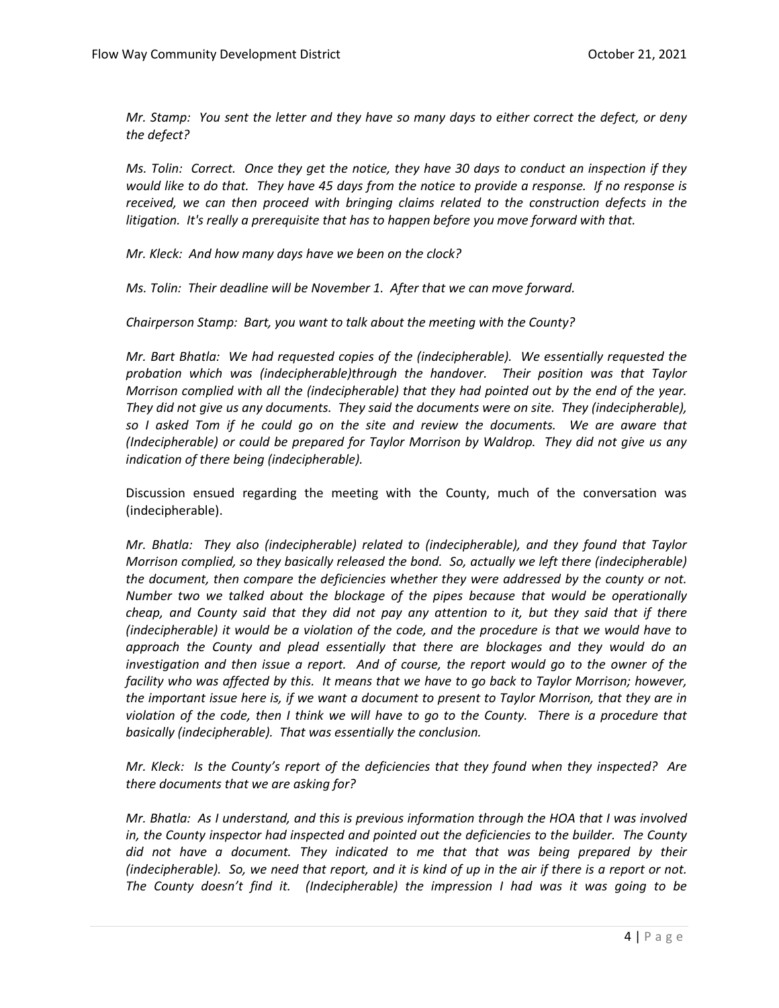*Mr. Stamp: You sent the letter and they have so many days to either correct the defect, or deny the defect?*

*Ms. Tolin: Correct. Once they get the notice, they have 30 days to conduct an inspection if they would like to do that. They have 45 days from the notice to provide a response. If no response is received, we can then proceed with bringing claims related to the construction defects in the litigation. It's really a prerequisite that has to happen before you move forward with that.*

*Mr. Kleck: And how many days have we been on the clock?*

*Ms. Tolin: Their deadline will be November 1. After that we can move forward.* 

*Chairperson Stamp: Bart, you want to talk about the meeting with the County?*

*Mr. Bart Bhatla: We had requested copies of the (indecipherable). We essentially requested the probation which was (indecipherable)through the handover. Their position was that Taylor Morrison complied with all the (indecipherable) that they had pointed out by the end of the year. They did not give us any documents. They said the documents were on site. They (indecipherable), so I asked Tom if he could go on the site and review the documents. We are aware that (Indecipherable) or could be prepared for Taylor Morrison by Waldrop. They did not give us any indication of there being (indecipherable).* 

Discussion ensued regarding the meeting with the County, much of the conversation was (indecipherable).

*Mr. Bhatla: They also (indecipherable) related to (indecipherable), and they found that Taylor Morrison complied, so they basically released the bond. So, actually we left there (indecipherable) the document, then compare the deficiencies whether they were addressed by the county or not. Number two we talked about the blockage of the pipes because that would be operationally cheap, and County said that they did not pay any attention to it, but they said that if there (indecipherable) it would be a violation of the code, and the procedure is that we would have to approach the County and plead essentially that there are blockages and they would do an investigation and then issue a report. And of course, the report would go to the owner of the facility who was affected by this. It means that we have to go back to Taylor Morrison; however, the important issue here is, if we want a document to present to Taylor Morrison, that they are in violation of the code, then I think we will have to go to the County. There is a procedure that basically (indecipherable). That was essentially the conclusion.* 

*Mr. Kleck: Is the County's report of the deficiencies that they found when they inspected? Are there documents that we are asking for?*

*Mr. Bhatla: As I understand, and this is previous information through the HOA that I was involved*  in, the County inspector had inspected and pointed out the deficiencies to the builder. The County *did not have a document. They indicated to me that that was being prepared by their (indecipherable). So, we need that report, and it is kind of up in the air if there is a report or not. The County doesn't find it. (Indecipherable) the impression I had was it was going to be*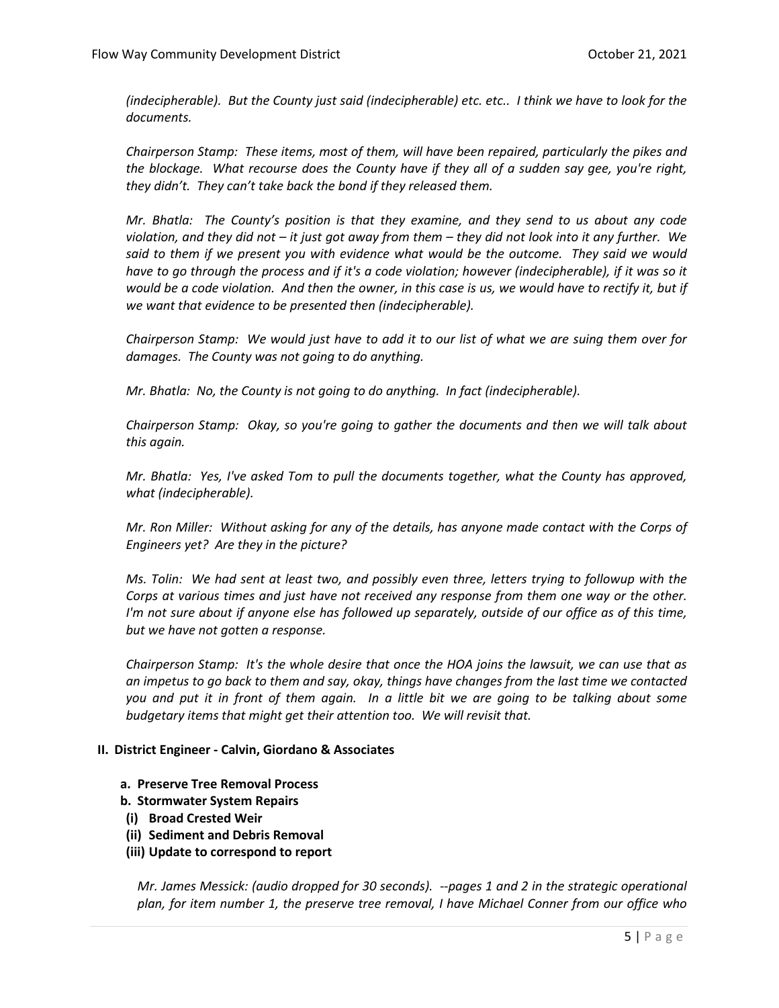*(indecipherable). But the County just said (indecipherable) etc. etc.. I think we have to look for the documents.* 

*Chairperson Stamp: These items, most of them, will have been repaired, particularly the pikes and the blockage. What recourse does the County have if they all of a sudden say gee, you're right, they didn't. They can't take back the bond if they released them.* 

*Mr. Bhatla: The County's position is that they examine, and they send to us about any code violation, and they did not – it just got away from them – they did not look into it any further. We said to them if we present you with evidence what would be the outcome. They said we would have to go through the process and if it's a code violation; however (indecipherable), if it was so it would be a code violation. And then the owner, in this case is us, we would have to rectify it, but if we want that evidence to be presented then (indecipherable).*

*Chairperson Stamp: We would just have to add it to our list of what we are suing them over for damages. The County was not going to do anything.* 

*Mr. Bhatla: No, the County is not going to do anything. In fact (indecipherable).* 

*Chairperson Stamp: Okay, so you're going to gather the documents and then we will talk about this again.* 

*Mr. Bhatla: Yes, I've asked Tom to pull the documents together, what the County has approved, what (indecipherable).* 

*Mr. Ron Miller: Without asking for any of the details, has anyone made contact with the Corps of Engineers yet? Are they in the picture?*

*Ms. Tolin: We had sent at least two, and possibly even three, letters trying to followup with the Corps at various times and just have not received any response from them one way or the other. I'm not sure about if anyone else has followed up separately, outside of our office as of this time, but we have not gotten a response.* 

*Chairperson Stamp: It's the whole desire that once the HOA joins the lawsuit, we can use that as an impetus to go back to them and say, okay, things have changes from the last time we contacted you and put it in front of them again. In a little bit we are going to be talking about some budgetary items that might get their attention too. We will revisit that.* 

#### **II. District Engineer - Calvin, Giordano & Associates**

**a. Preserve Tree Removal Process**

**b. Stormwater System Repairs**

- **(i) Broad Crested Weir**
- **(ii) Sediment and Debris Removal**
- **(iii) Update to correspond to report**

*Mr. James Messick: (audio dropped for 30 seconds). --pages 1 and 2 in the strategic operational plan, for item number 1, the preserve tree removal, I have Michael Conner from our office who*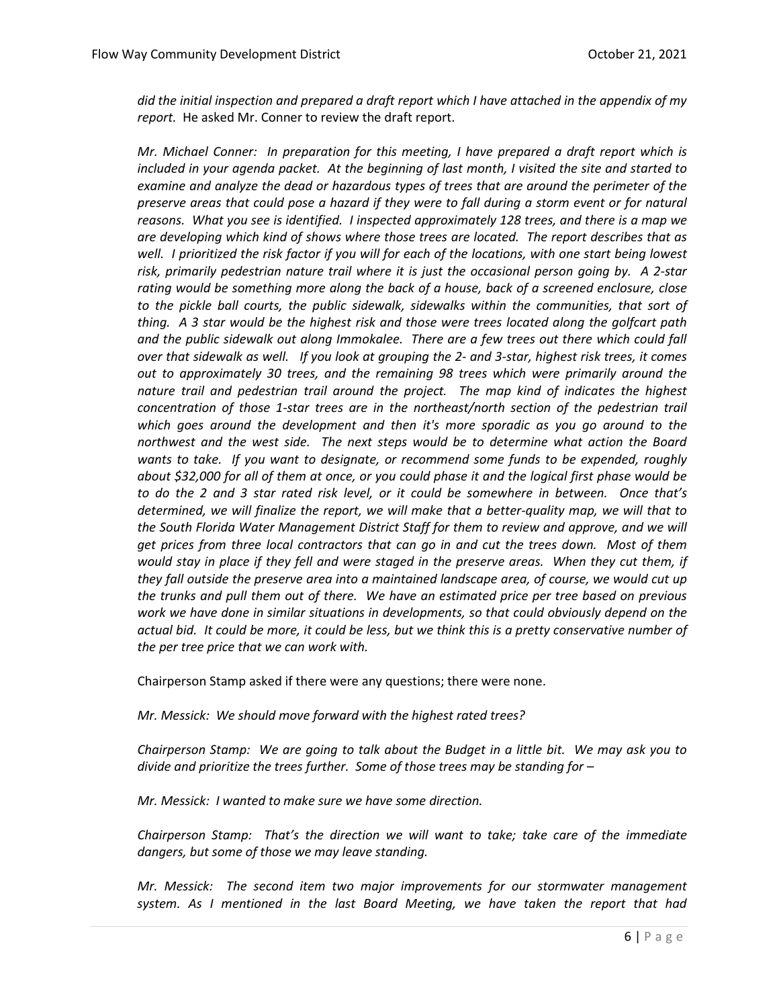*did the initial inspection and prepared a draft report which I have attached in the appendix of my report.* He asked Mr. Conner to review the draft report.

*Mr. Michael Conner: In preparation for this meeting, I have prepared a draft report which is included in your agenda packet. At the beginning of last month, I visited the site and started to examine and analyze the dead or hazardous types of trees that are around the perimeter of the preserve areas that could pose a hazard if they were to fall during a storm event or for natural reasons. What you see is identified. I inspected approximately 128 trees, and there is a map we are developing which kind of shows where those trees are located. The report describes that as well. I prioritized the risk factor if you will for each of the locations, with one start being lowest risk, primarily pedestrian nature trail where it is just the occasional person going by. A 2-star rating would be something more along the back of a house, back of a screened enclosure, close to the pickle ball courts, the public sidewalk, sidewalks within the communities, that sort of thing. A 3 star would be the highest risk and those were trees located along the golfcart path and the public sidewalk out along Immokalee. There are a few trees out there which could fall over that sidewalk as well. If you look at grouping the 2- and 3-star, highest risk trees, it comes out to approximately 30 trees, and the remaining 98 trees which were primarily around the nature trail and pedestrian trail around the project. The map kind of indicates the highest concentration of those 1-star trees are in the northeast/north section of the pedestrian trail which goes around the development and then it's more sporadic as you go around to the northwest and the west side. The next steps would be to determine what action the Board wants to take. If you want to designate, or recommend some funds to be expended, roughly about \$32,000 for all of them at once, or you could phase it and the logical first phase would be to do the 2 and 3 star rated risk level, or it could be somewhere in between. Once that's determined, we will finalize the report, we will make that a better-quality map, we will that to the South Florida Water Management District Staff for them to review and approve, and we will get prices from three local contractors that can go in and cut the trees down. Most of them would stay in place if they fell and were staged in the preserve areas. When they cut them, if they fall outside the preserve area into a maintained landscape area, of course, we would cut up the trunks and pull them out of there. We have an estimated price per tree based on previous work we have done in similar situations in developments, so that could obviously depend on the actual bid. It could be more, it could be less, but we think this is a pretty conservative number of the per tree price that we can work with.* 

Chairperson Stamp asked if there were any questions; there were none.

*Mr. Messick: We should move forward with the highest rated trees?*

*Chairperson Stamp: We are going to talk about the Budget in a little bit. We may ask you to divide and prioritize the trees further. Some of those trees may be standing for –*

*Mr. Messick: I wanted to make sure we have some direction.*

*Chairperson Stamp: That's the direction we will want to take; take care of the immediate dangers, but some of those we may leave standing.* 

*Mr. Messick: The second item two major improvements for our stormwater management system. As I mentioned in the last Board Meeting, we have taken the report that had*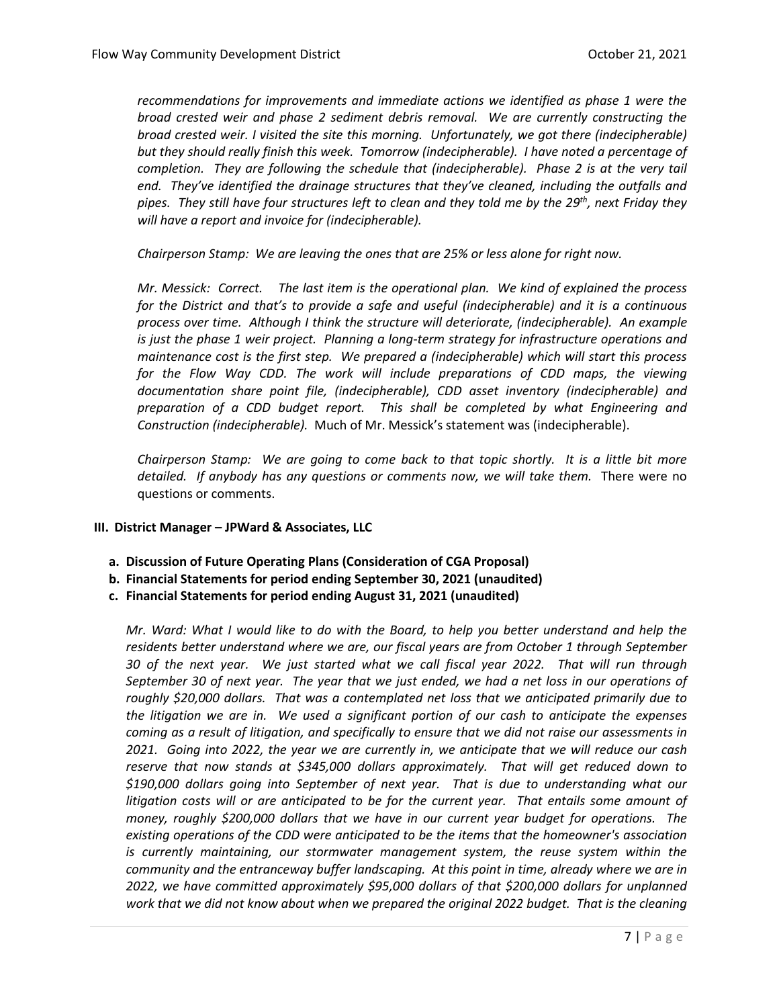*recommendations for improvements and immediate actions we identified as phase 1 were the broad crested weir and phase 2 sediment debris removal. We are currently constructing the broad crested weir. I visited the site this morning. Unfortunately, we got there (indecipherable) but they should really finish this week. Tomorrow (indecipherable). I have noted a percentage of completion. They are following the schedule that (indecipherable). Phase 2 is at the very tail end. They've identified the drainage structures that they've cleaned, including the outfalls and pipes. They still have four structures left to clean and they told me by the 29th, next Friday they will have a report and invoice for (indecipherable).* 

*Chairperson Stamp: We are leaving the ones that are 25% or less alone for right now.*

*Mr. Messick: Correct. The last item is the operational plan. We kind of explained the process for the District and that's to provide a safe and useful (indecipherable) and it is a continuous process over time. Although I think the structure will deteriorate, (indecipherable). An example is just the phase 1 weir project. Planning a long-term strategy for infrastructure operations and maintenance cost is the first step. We prepared a (indecipherable) which will start this process*  for the Flow Way CDD. The work will include preparations of CDD maps, the viewing *documentation share point file, (indecipherable), CDD asset inventory (indecipherable) and preparation of a CDD budget report. This shall be completed by what Engineering and Construction (indecipherable).* Much of Mr. Messick's statement was (indecipherable).

*Chairperson Stamp: We are going to come back to that topic shortly. It is a little bit more detailed. If anybody has any questions or comments now, we will take them.* There were no questions or comments.

## **III. District Manager – JPWard & Associates, LLC**

- **a. Discussion of Future Operating Plans (Consideration of CGA Proposal)**
- **b. Financial Statements for period ending September 30, 2021 (unaudited)**
- **c. Financial Statements for period ending August 31, 2021 (unaudited)**

*Mr. Ward: What I would like to do with the Board, to help you better understand and help the residents better understand where we are, our fiscal years are from October 1 through September 30 of the next year. We just started what we call fiscal year 2022. That will run through September 30 of next year. The year that we just ended, we had a net loss in our operations of roughly \$20,000 dollars. That was a contemplated net loss that we anticipated primarily due to the litigation we are in. We used a significant portion of our cash to anticipate the expenses coming as a result of litigation, and specifically to ensure that we did not raise our assessments in 2021. Going into 2022, the year we are currently in, we anticipate that we will reduce our cash reserve that now stands at \$345,000 dollars approximately. That will get reduced down to \$190,000 dollars going into September of next year. That is due to understanding what our litigation costs will or are anticipated to be for the current year. That entails some amount of money, roughly \$200,000 dollars that we have in our current year budget for operations. The existing operations of the CDD were anticipated to be the items that the homeowner's association is currently maintaining, our stormwater management system, the reuse system within the community and the entranceway buffer landscaping. At this point in time, already where we are in 2022, we have committed approximately \$95,000 dollars of that \$200,000 dollars for unplanned work that we did not know about when we prepared the original 2022 budget. That is the cleaning*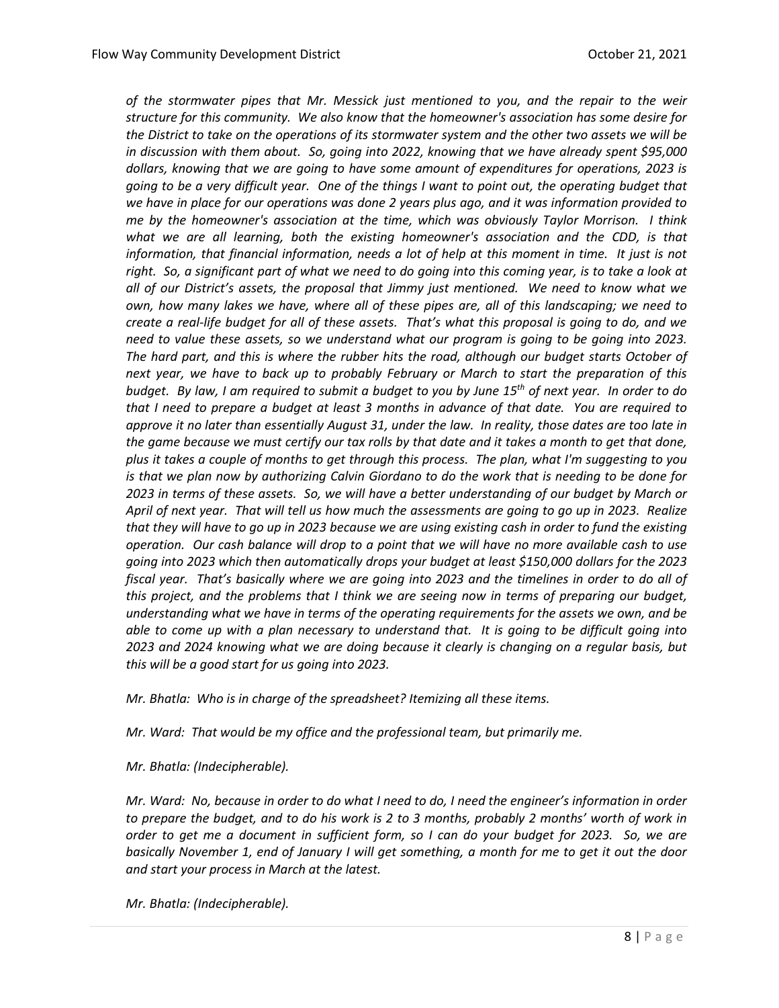*of the stormwater pipes that Mr. Messick just mentioned to you, and the repair to the weir structure for this community. We also know that the homeowner's association has some desire for the District to take on the operations of its stormwater system and the other two assets we will be in discussion with them about. So, going into 2022, knowing that we have already spent \$95,000 dollars, knowing that we are going to have some amount of expenditures for operations, 2023 is going to be a very difficult year. One of the things I want to point out, the operating budget that we have in place for our operations was done 2 years plus ago, and it was information provided to me by the homeowner's association at the time, which was obviously Taylor Morrison. I think what we are all learning, both the existing homeowner's association and the CDD, is that information, that financial information, needs a lot of help at this moment in time. It just is not right. So, a significant part of what we need to do going into this coming year, is to take a look at all of our District's assets, the proposal that Jimmy just mentioned. We need to know what we own, how many lakes we have, where all of these pipes are, all of this landscaping; we need to create a real-life budget for all of these assets. That's what this proposal is going to do, and we need to value these assets, so we understand what our program is going to be going into 2023. The hard part, and this is where the rubber hits the road, although our budget starts October of next year, we have to back up to probably February or March to start the preparation of this budget. By law, I am required to submit a budget to you by June 15th of next year. In order to do that I need to prepare a budget at least 3 months in advance of that date. You are required to approve it no later than essentially August 31, under the law. In reality, those dates are too late in the game because we must certify our tax rolls by that date and it takes a month to get that done, plus it takes a couple of months to get through this process. The plan, what I'm suggesting to you is that we plan now by authorizing Calvin Giordano to do the work that is needing to be done for 2023 in terms of these assets. So, we will have a better understanding of our budget by March or April of next year. That will tell us how much the assessments are going to go up in 2023. Realize that they will have to go up in 2023 because we are using existing cash in order to fund the existing operation. Our cash balance will drop to a point that we will have no more available cash to use going into 2023 which then automatically drops your budget at least \$150,000 dollars for the 2023 fiscal year. That's basically where we are going into 2023 and the timelines in order to do all of this project, and the problems that I think we are seeing now in terms of preparing our budget, understanding what we have in terms of the operating requirements for the assets we own, and be able to come up with a plan necessary to understand that. It is going to be difficult going into 2023 and 2024 knowing what we are doing because it clearly is changing on a regular basis, but this will be a good start for us going into 2023.* 

*Mr. Bhatla: Who is in charge of the spreadsheet? Itemizing all these items.*

*Mr. Ward: That would be my office and the professional team, but primarily me.* 

*Mr. Bhatla: (Indecipherable).*

*Mr. Ward: No, because in order to do what I need to do, I need the engineer's information in order to prepare the budget, and to do his work is 2 to 3 months, probably 2 months' worth of work in order to get me a document in sufficient form, so I can do your budget for 2023. So, we are basically November 1, end of January I will get something, a month for me to get it out the door and start your process in March at the latest.*

*Mr. Bhatla: (Indecipherable).*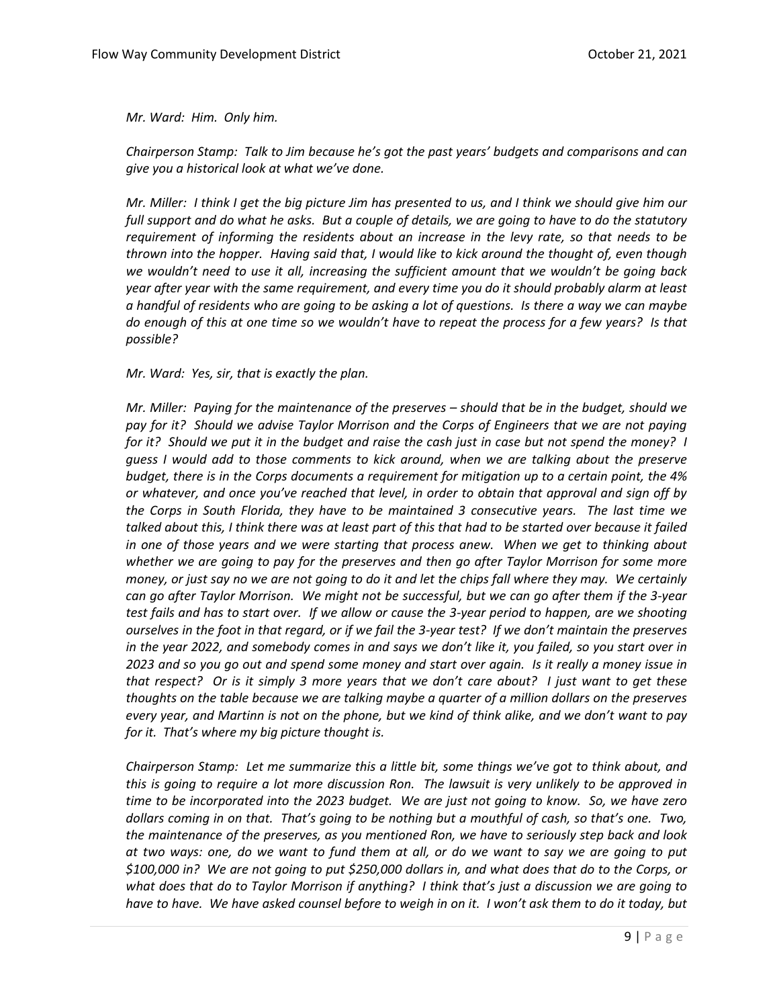*Mr. Ward: Him. Only him.* 

*Chairperson Stamp: Talk to Jim because he's got the past years' budgets and comparisons and can give you a historical look at what we've done.* 

*Mr. Miller: I think I get the big picture Jim has presented to us, and I think we should give him our full support and do what he asks. But a couple of details, we are going to have to do the statutory requirement of informing the residents about an increase in the levy rate, so that needs to be thrown into the hopper. Having said that, I would like to kick around the thought of, even though we wouldn't need to use it all, increasing the sufficient amount that we wouldn't be going back year after year with the same requirement, and every time you do it should probably alarm at least a handful of residents who are going to be asking a lot of questions. Is there a way we can maybe do enough of this at one time so we wouldn't have to repeat the process for a few years? Is that possible?* 

*Mr. Ward: Yes, sir, that is exactly the plan.* 

*Mr. Miller: Paying for the maintenance of the preserves – should that be in the budget, should we pay for it? Should we advise Taylor Morrison and the Corps of Engineers that we are not paying for it? Should we put it in the budget and raise the cash just in case but not spend the money? I guess I would add to those comments to kick around, when we are talking about the preserve budget, there is in the Corps documents a requirement for mitigation up to a certain point, the 4% or whatever, and once you've reached that level, in order to obtain that approval and sign off by the Corps in South Florida, they have to be maintained 3 consecutive years. The last time we talked about this, I think there was at least part of this that had to be started over because it failed in one of those years and we were starting that process anew. When we get to thinking about whether we are going to pay for the preserves and then go after Taylor Morrison for some more money, or just say no we are not going to do it and let the chips fall where they may. We certainly can go after Taylor Morrison. We might not be successful, but we can go after them if the 3-year test fails and has to start over. If we allow or cause the 3-year period to happen, are we shooting ourselves in the foot in that regard, or if we fail the 3-year test? If we don't maintain the preserves in the year 2022, and somebody comes in and says we don't like it, you failed, so you start over in 2023 and so you go out and spend some money and start over again. Is it really a money issue in that respect? Or is it simply 3 more years that we don't care about? I just want to get these thoughts on the table because we are talking maybe a quarter of a million dollars on the preserves every year, and Martinn is not on the phone, but we kind of think alike, and we don't want to pay for it. That's where my big picture thought is.* 

*Chairperson Stamp: Let me summarize this a little bit, some things we've got to think about, and this is going to require a lot more discussion Ron. The lawsuit is very unlikely to be approved in time to be incorporated into the 2023 budget. We are just not going to know. So, we have zero dollars coming in on that. That's going to be nothing but a mouthful of cash, so that's one. Two, the maintenance of the preserves, as you mentioned Ron, we have to seriously step back and look at two ways: one, do we want to fund them at all, or do we want to say we are going to put \$100,000 in? We are not going to put \$250,000 dollars in, and what does that do to the Corps, or what does that do to Taylor Morrison if anything? I think that's just a discussion we are going to have to have. We have asked counsel before to weigh in on it. I won't ask them to do it today, but*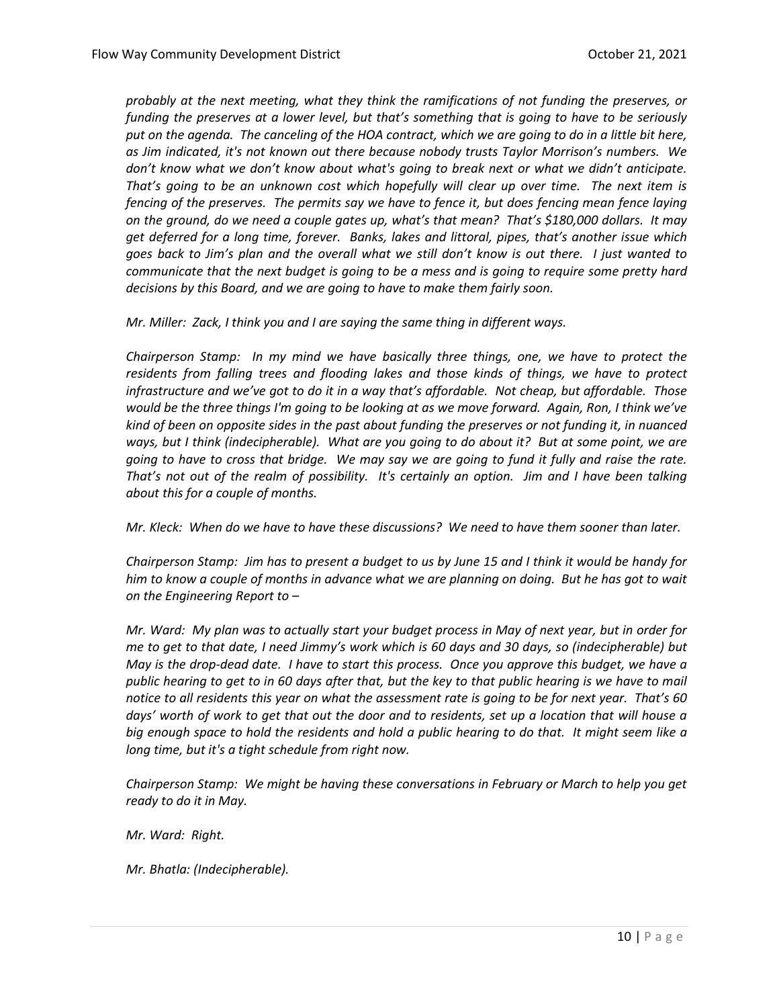*probably at the next meeting, what they think the ramifications of not funding the preserves, or funding the preserves at a lower level, but that's something that is going to have to be seriously put on the agenda. The canceling of the HOA contract, which we are going to do in a little bit here, as Jim indicated, it's not known out there because nobody trusts Taylor Morrison's numbers. We don't know what we don't know about what's going to break next or what we didn't anticipate. That's going to be an unknown cost which hopefully will clear up over time. The next item is fencing of the preserves. The permits say we have to fence it, but does fencing mean fence laying on the ground, do we need a couple gates up, what's that mean? That's \$180,000 dollars. It may get deferred for a long time, forever. Banks, lakes and littoral, pipes, that's another issue which goes back to Jim's plan and the overall what we still don't know is out there. I just wanted to communicate that the next budget is going to be a mess and is going to require some pretty hard decisions by this Board, and we are going to have to make them fairly soon.* 

*Mr. Miller: Zack, I think you and I are saying the same thing in different ways.* 

*Chairperson Stamp: In my mind we have basically three things, one, we have to protect the residents from falling trees and flooding lakes and those kinds of things, we have to protect infrastructure and we've got to do it in a way that's affordable. Not cheap, but affordable. Those would be the three things I'm going to be looking at as we move forward. Again, Ron, I think we've kind of been on opposite sides in the past about funding the preserves or not funding it, in nuanced ways, but I think (indecipherable). What are you going to do about it? But at some point, we are going to have to cross that bridge. We may say we are going to fund it fully and raise the rate. That's not out of the realm of possibility. It's certainly an option. Jim and I have been talking about this for a couple of months.*

*Mr. Kleck: When do we have to have these discussions? We need to have them sooner than later.*

*Chairperson Stamp: Jim has to present a budget to us by June 15 and I think it would be handy for him to know a couple of months in advance what we are planning on doing. But he has got to wait on the Engineering Report to –*

*Mr. Ward: My plan was to actually start your budget process in May of next year, but in order for me to get to that date, I need Jimmy's work which is 60 days and 30 days, so (indecipherable) but May is the drop-dead date. I have to start this process. Once you approve this budget, we have a public hearing to get to in 60 days after that, but the key to that public hearing is we have to mail notice to all residents this year on what the assessment rate is going to be for next year. That's 60 days' worth of work to get that out the door and to residents, set up a location that will house a big enough space to hold the residents and hold a public hearing to do that. It might seem like a long time, but it's a tight schedule from right now.* 

*Chairperson Stamp: We might be having these conversations in February or March to help you get ready to do it in May.* 

*Mr. Ward: Right.* 

*Mr. Bhatla: (Indecipherable).*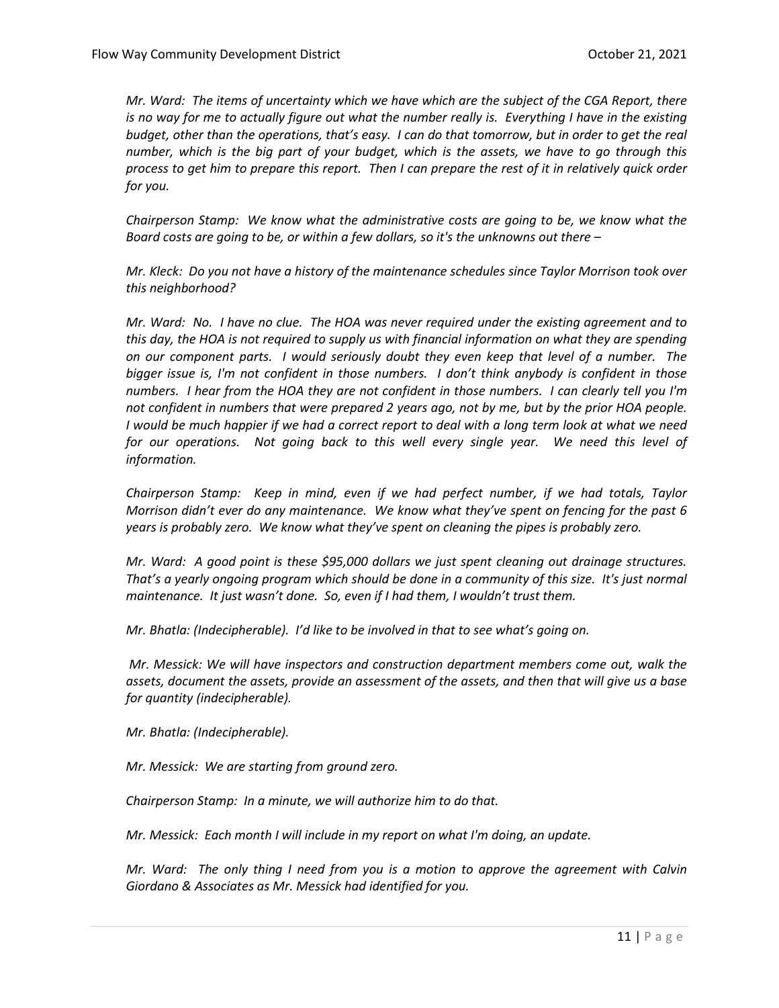*Mr. Ward: The items of uncertainty which we have which are the subject of the CGA Report, there is no way for me to actually figure out what the number really is. Everything I have in the existing budget, other than the operations, that's easy. I can do that tomorrow, but in order to get the real number, which is the big part of your budget, which is the assets, we have to go through this process to get him to prepare this report. Then I can prepare the rest of it in relatively quick order for you.* 

*Chairperson Stamp: We know what the administrative costs are going to be, we know what the Board costs are going to be, or within a few dollars, so it's the unknowns out there –*

*Mr. Kleck: Do you not have a history of the maintenance schedules since Taylor Morrison took over this neighborhood?* 

*Mr. Ward: No. I have no clue. The HOA was never required under the existing agreement and to this day, the HOA is not required to supply us with financial information on what they are spending on our component parts. I would seriously doubt they even keep that level of a number. The bigger issue is, I'm not confident in those numbers. I don't think anybody is confident in those numbers. I hear from the HOA they are not confident in those numbers. I can clearly tell you I'm not confident in numbers that were prepared 2 years ago, not by me, but by the prior HOA people. I would be much happier if we had a correct report to deal with a long term look at what we need for our operations. Not going back to this well every single year. We need this level of information.* 

*Chairperson Stamp: Keep in mind, even if we had perfect number, if we had totals, Taylor Morrison didn't ever do any maintenance. We know what they've spent on fencing for the past 6 years is probably zero. We know what they've spent on cleaning the pipes is probably zero.* 

*Mr. Ward: A good point is these \$95,000 dollars we just spent cleaning out drainage structures. That's a yearly ongoing program which should be done in a community of this size. It's just normal maintenance. It just wasn't done. So, even if I had them, I wouldn't trust them.* 

*Mr. Bhatla: (Indecipherable). I'd like to be involved in that to see what's going on.* 

*Mr. Messick: We will have inspectors and construction department members come out, walk the assets, document the assets, provide an assessment of the assets, and then that will give us a base for quantity (indecipherable).* 

*Mr. Bhatla: (Indecipherable).* 

*Mr. Messick: We are starting from ground zero.*

*Chairperson Stamp: In a minute, we will authorize him to do that.*

*Mr. Messick: Each month I will include in my report on what I'm doing, an update.* 

*Mr. Ward: The only thing I need from you is a motion to approve the agreement with Calvin Giordano & Associates as Mr. Messick had identified for you.*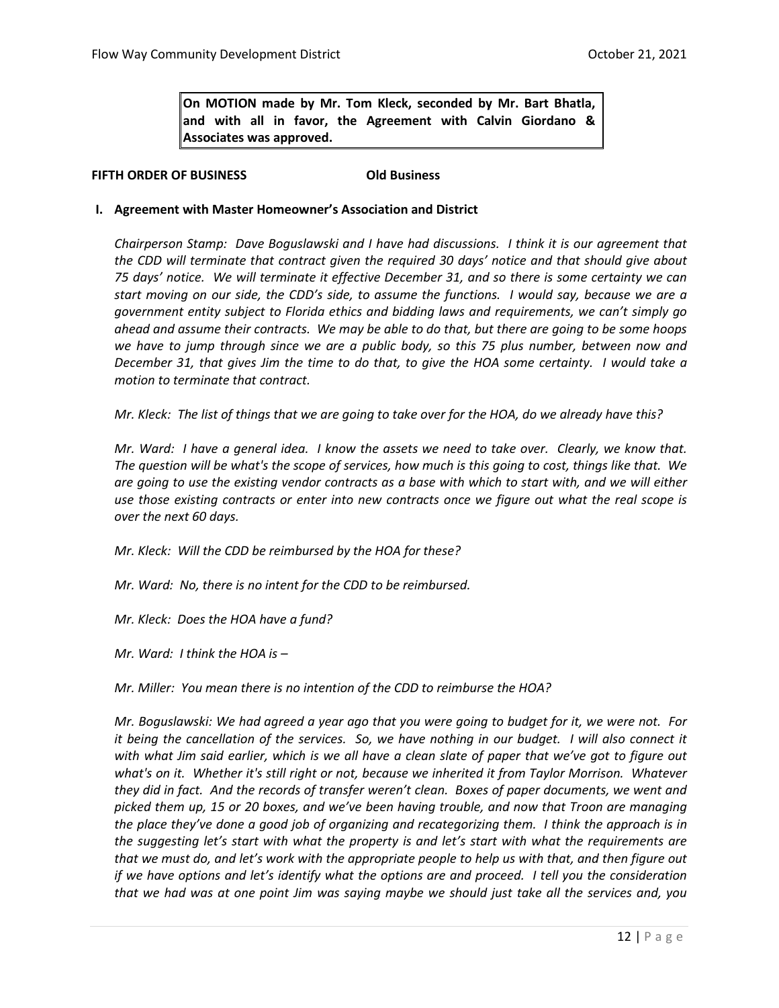**On MOTION made by Mr. Tom Kleck, seconded by Mr. Bart Bhatla, and with all in favor, the Agreement with Calvin Giordano & Associates was approved.**

#### **FIFTH ORDER OF BUSINESS Old Business**

#### **I. Agreement with Master Homeowner's Association and District**

*Chairperson Stamp: Dave Boguslawski and I have had discussions. I think it is our agreement that the CDD will terminate that contract given the required 30 days' notice and that should give about 75 days' notice. We will terminate it effective December 31, and so there is some certainty we can start moving on our side, the CDD's side, to assume the functions. I would say, because we are a government entity subject to Florida ethics and bidding laws and requirements, we can't simply go ahead and assume their contracts. We may be able to do that, but there are going to be some hoops we have to jump through since we are a public body, so this 75 plus number, between now and December 31, that gives Jim the time to do that, to give the HOA some certainty. I would take a motion to terminate that contract.* 

*Mr. Kleck: The list of things that we are going to take over for the HOA, do we already have this?* 

*Mr. Ward: I have a general idea. I know the assets we need to take over. Clearly, we know that. The question will be what's the scope of services, how much is this going to cost, things like that. We are going to use the existing vendor contracts as a base with which to start with, and we will either use those existing contracts or enter into new contracts once we figure out what the real scope is over the next 60 days.* 

- *Mr. Kleck: Will the CDD be reimbursed by the HOA for these?*
- *Mr. Ward: No, there is no intent for the CDD to be reimbursed.*
- *Mr. Kleck: Does the HOA have a fund?*
- *Mr. Ward: I think the HOA is –*

*Mr. Miller: You mean there is no intention of the CDD to reimburse the HOA?*

*Mr. Boguslawski: We had agreed a year ago that you were going to budget for it, we were not. For it being the cancellation of the services. So, we have nothing in our budget. I will also connect it*  with what Jim said earlier, which is we all have a clean slate of paper that we've got to figure out *what's on it. Whether it's still right or not, because we inherited it from Taylor Morrison. Whatever they did in fact. And the records of transfer weren't clean. Boxes of paper documents, we went and picked them up, 15 or 20 boxes, and we've been having trouble, and now that Troon are managing the place they've done a good job of organizing and recategorizing them. I think the approach is in the suggesting let's start with what the property is and let's start with what the requirements are that we must do, and let's work with the appropriate people to help us with that, and then figure out if we have options and let's identify what the options are and proceed. I tell you the consideration that we had was at one point Jim was saying maybe we should just take all the services and, you*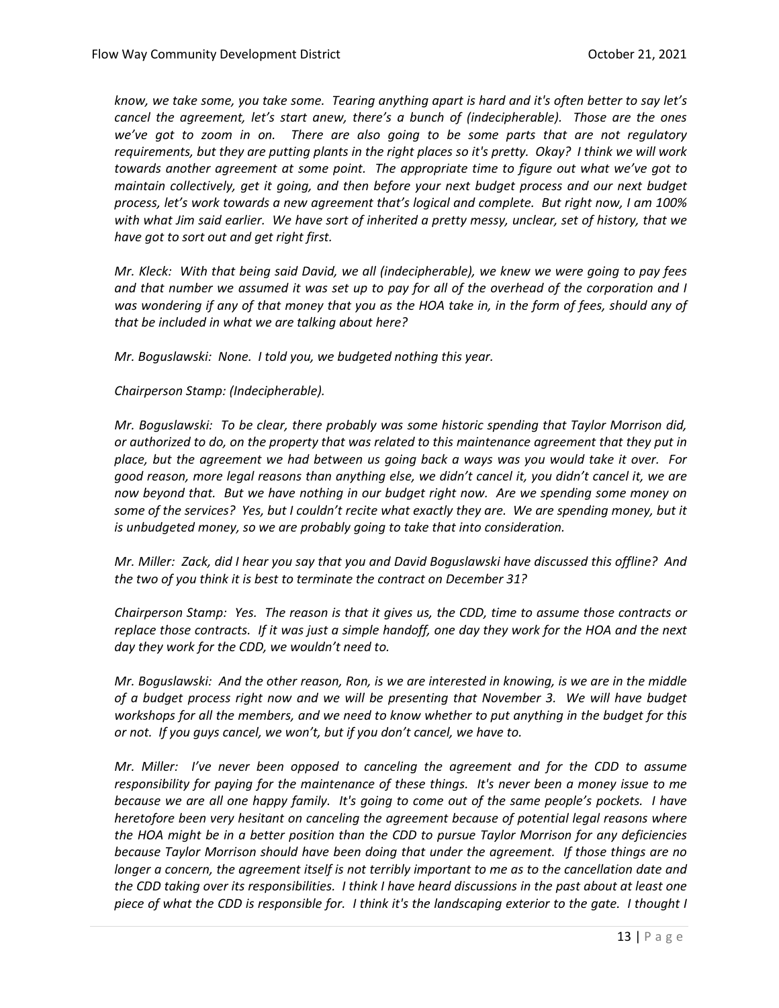*know, we take some, you take some. Tearing anything apart is hard and it's often better to say let's cancel the agreement, let's start anew, there's a bunch of (indecipherable). Those are the ones we've got to zoom in on. There are also going to be some parts that are not regulatory requirements, but they are putting plants in the right places so it's pretty. Okay? I think we will work towards another agreement at some point. The appropriate time to figure out what we've got to maintain collectively, get it going, and then before your next budget process and our next budget process, let's work towards a new agreement that's logical and complete. But right now, I am 100% with what Jim said earlier. We have sort of inherited a pretty messy, unclear, set of history, that we have got to sort out and get right first.* 

*Mr. Kleck: With that being said David, we all (indecipherable), we knew we were going to pay fees and that number we assumed it was set up to pay for all of the overhead of the corporation and I*  was wondering if any of that money that you as the HOA take in, in the form of fees, should any of *that be included in what we are talking about here?*

*Mr. Boguslawski: None. I told you, we budgeted nothing this year.* 

#### *Chairperson Stamp: (Indecipherable).*

*Mr. Boguslawski: To be clear, there probably was some historic spending that Taylor Morrison did, or authorized to do, on the property that was related to this maintenance agreement that they put in place, but the agreement we had between us going back a ways was you would take it over. For good reason, more legal reasons than anything else, we didn't cancel it, you didn't cancel it, we are now beyond that. But we have nothing in our budget right now. Are we spending some money on some of the services? Yes, but I couldn't recite what exactly they are. We are spending money, but it is unbudgeted money, so we are probably going to take that into consideration.*

*Mr. Miller: Zack, did I hear you say that you and David Boguslawski have discussed this offline? And the two of you think it is best to terminate the contract on December 31?*

*Chairperson Stamp: Yes. The reason is that it gives us, the CDD, time to assume those contracts or replace those contracts. If it was just a simple handoff, one day they work for the HOA and the next day they work for the CDD, we wouldn't need to.*

*Mr. Boguslawski: And the other reason, Ron, is we are interested in knowing, is we are in the middle of a budget process right now and we will be presenting that November 3. We will have budget workshops for all the members, and we need to know whether to put anything in the budget for this or not. If you guys cancel, we won't, but if you don't cancel, we have to.* 

*Mr. Miller: I've never been opposed to canceling the agreement and for the CDD to assume responsibility for paying for the maintenance of these things. It's never been a money issue to me because we are all one happy family. It's going to come out of the same people's pockets. I have heretofore been very hesitant on canceling the agreement because of potential legal reasons where the HOA might be in a better position than the CDD to pursue Taylor Morrison for any deficiencies because Taylor Morrison should have been doing that under the agreement. If those things are no longer a concern, the agreement itself is not terribly important to me as to the cancellation date and the CDD taking over its responsibilities. I think I have heard discussions in the past about at least one piece of what the CDD is responsible for. I think it's the landscaping exterior to the gate. I thought I*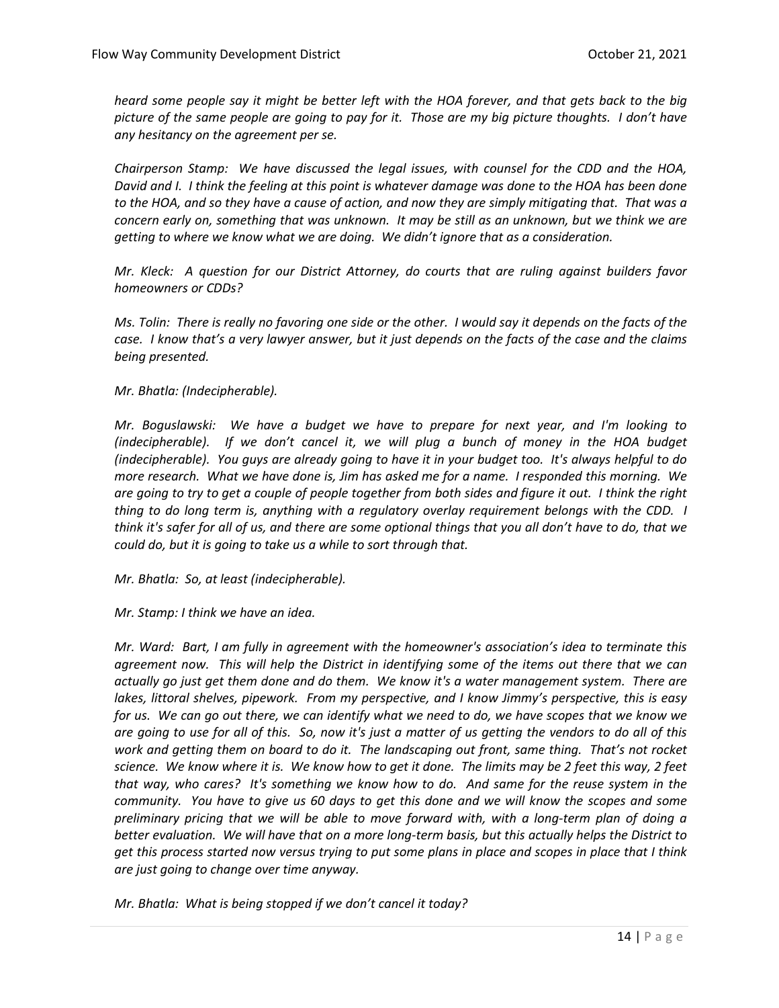*heard some people say it might be better left with the HOA forever, and that gets back to the big picture of the same people are going to pay for it. Those are my big picture thoughts. I don't have any hesitancy on the agreement per se.* 

*Chairperson Stamp: We have discussed the legal issues, with counsel for the CDD and the HOA, David and I. I think the feeling at this point is whatever damage was done to the HOA has been done to the HOA, and so they have a cause of action, and now they are simply mitigating that. That was a concern early on, something that was unknown. It may be still as an unknown, but we think we are getting to where we know what we are doing. We didn't ignore that as a consideration.*

*Mr. Kleck: A question for our District Attorney, do courts that are ruling against builders favor homeowners or CDDs?* 

*Ms. Tolin: There is really no favoring one side or the other. I would say it depends on the facts of the case. I know that's a very lawyer answer, but it just depends on the facts of the case and the claims being presented.* 

*Mr. Bhatla: (Indecipherable).*

*Mr. Boguslawski: We have a budget we have to prepare for next year, and I'm looking to (indecipherable). If we don't cancel it, we will plug a bunch of money in the HOA budget (indecipherable). You guys are already going to have it in your budget too. It's always helpful to do more research. What we have done is, Jim has asked me for a name. I responded this morning. We are going to try to get a couple of people together from both sides and figure it out. I think the right thing to do long term is, anything with a regulatory overlay requirement belongs with the CDD. I think it's safer for all of us, and there are some optional things that you all don't have to do, that we could do, but it is going to take us a while to sort through that.* 

*Mr. Bhatla: So, at least (indecipherable).* 

*Mr. Stamp: I think we have an idea.*

*Mr. Ward: Bart, I am fully in agreement with the homeowner's association's idea to terminate this agreement now. This will help the District in identifying some of the items out there that we can actually go just get them done and do them. We know it's a water management system. There are lakes, littoral shelves, pipework. From my perspective, and I know Jimmy's perspective, this is easy for us. We can go out there, we can identify what we need to do, we have scopes that we know we are going to use for all of this. So, now it's just a matter of us getting the vendors to do all of this work and getting them on board to do it. The landscaping out front, same thing. That's not rocket science. We know where it is. We know how to get it done. The limits may be 2 feet this way, 2 feet that way, who cares? It's something we know how to do. And same for the reuse system in the community. You have to give us 60 days to get this done and we will know the scopes and some preliminary pricing that we will be able to move forward with, with a long-term plan of doing a better evaluation. We will have that on a more long-term basis, but this actually helps the District to get this process started now versus trying to put some plans in place and scopes in place that I think are just going to change over time anyway.* 

*Mr. Bhatla: What is being stopped if we don't cancel it today?*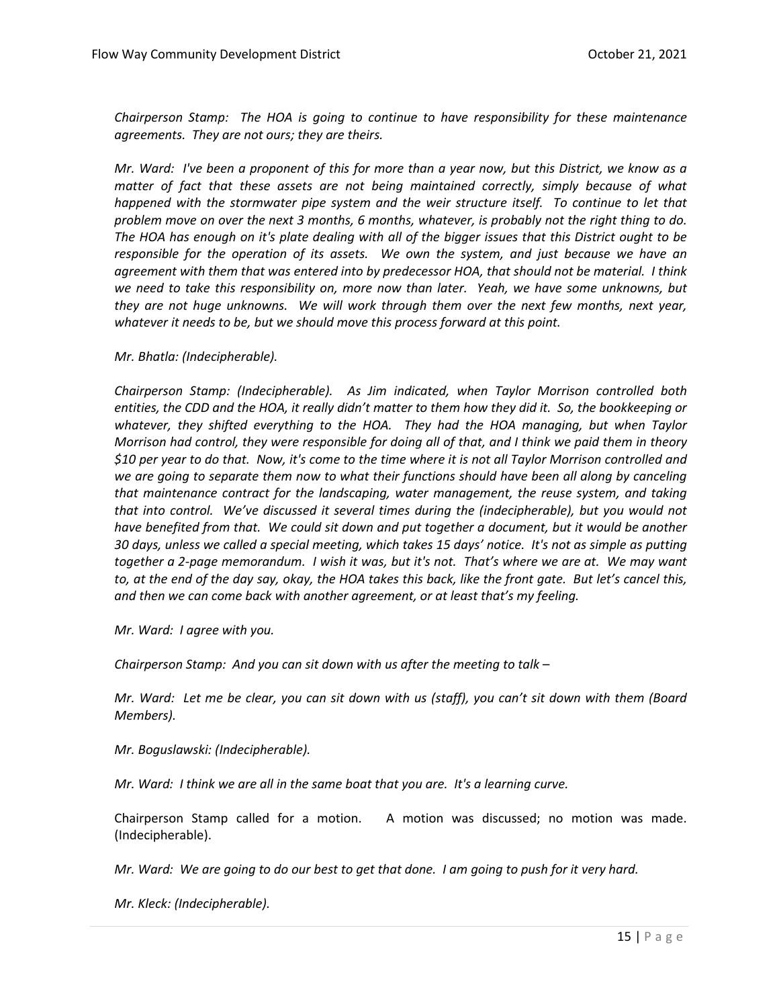*Chairperson Stamp: The HOA is going to continue to have responsibility for these maintenance agreements. They are not ours; they are theirs.* 

*Mr. Ward: I've been a proponent of this for more than a year now, but this District, we know as a matter of fact that these assets are not being maintained correctly, simply because of what happened with the stormwater pipe system and the weir structure itself. To continue to let that problem move on over the next 3 months, 6 months, whatever, is probably not the right thing to do. The HOA has enough on it's plate dealing with all of the bigger issues that this District ought to be responsible for the operation of its assets. We own the system, and just because we have an agreement with them that was entered into by predecessor HOA, that should not be material. I think we need to take this responsibility on, more now than later. Yeah, we have some unknowns, but they are not huge unknowns. We will work through them over the next few months, next year, whatever it needs to be, but we should move this process forward at this point.* 

*Mr. Bhatla: (Indecipherable).* 

*Chairperson Stamp: (Indecipherable). As Jim indicated, when Taylor Morrison controlled both entities, the CDD and the HOA, it really didn't matter to them how they did it. So, the bookkeeping or whatever, they shifted everything to the HOA. They had the HOA managing, but when Taylor Morrison had control, they were responsible for doing all of that, and I think we paid them in theory \$10 per year to do that. Now, it's come to the time where it is not all Taylor Morrison controlled and we are going to separate them now to what their functions should have been all along by canceling that maintenance contract for the landscaping, water management, the reuse system, and taking that into control. We've discussed it several times during the (indecipherable), but you would not have benefited from that. We could sit down and put together a document, but it would be another 30 days, unless we called a special meeting, which takes 15 days' notice. It's not as simple as putting together a 2-page memorandum. I wish it was, but it's not. That's where we are at. We may want to, at the end of the day say, okay, the HOA takes this back, like the front gate. But let's cancel this, and then we can come back with another agreement, or at least that's my feeling.* 

*Mr. Ward: I agree with you.* 

*Chairperson Stamp: And you can sit down with us after the meeting to talk –*

*Mr. Ward: Let me be clear, you can sit down with us (staff), you can't sit down with them (Board Members).*

*Mr. Boguslawski: (Indecipherable).*

*Mr. Ward: I think we are all in the same boat that you are. It's a learning curve.*

Chairperson Stamp called for a motion. A motion was discussed; no motion was made. (Indecipherable).

*Mr. Ward: We are going to do our best to get that done. I am going to push for it very hard.* 

*Mr. Kleck: (Indecipherable).*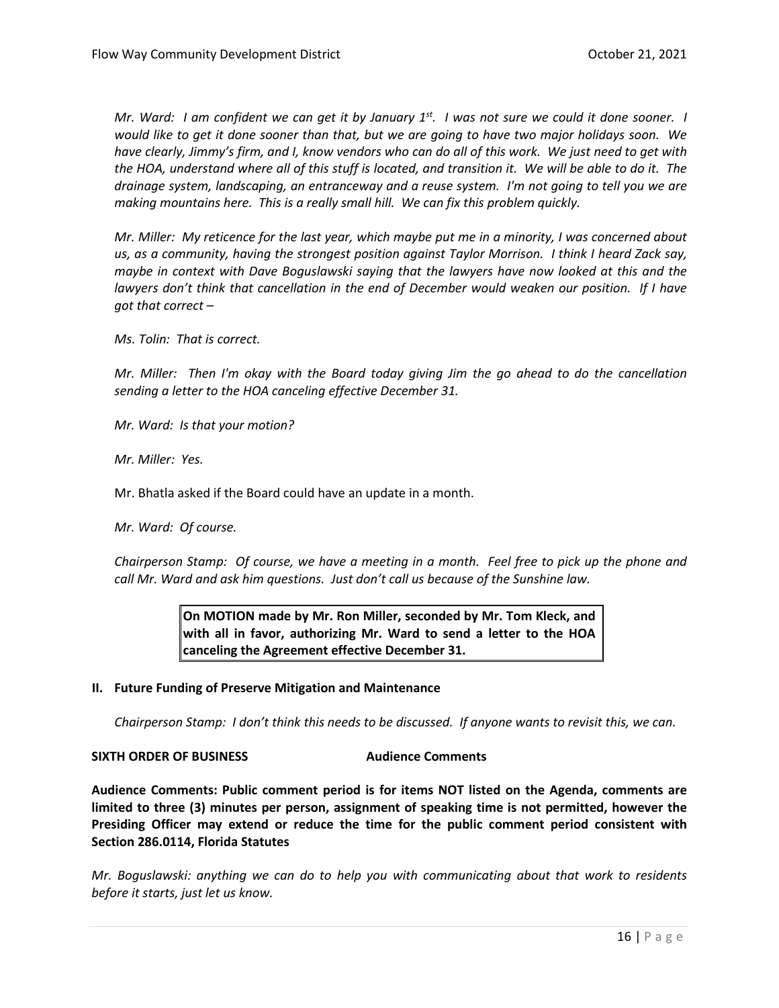*Mr. Ward: I am confident we can get it by January 1<sup>st</sup>. I was not sure we could it done sooner. I would like to get it done sooner than that, but we are going to have two major holidays soon. We have clearly, Jimmy's firm, and I, know vendors who can do all of this work. We just need to get with the HOA, understand where all of this stuff is located, and transition it. We will be able to do it. The drainage system, landscaping, an entranceway and a reuse system. I'm not going to tell you we are making mountains here. This is a really small hill. We can fix this problem quickly.* 

*Mr. Miller: My reticence for the last year, which maybe put me in a minority, I was concerned about us, as a community, having the strongest position against Taylor Morrison. I think I heard Zack say, maybe in context with Dave Boguslawski saying that the lawyers have now looked at this and the* lawyers don't think that cancellation in the end of December would weaken our position. If I have *got that correct –*

*Ms. Tolin: That is correct.*

*Mr. Miller: Then I'm okay with the Board today giving Jim the go ahead to do the cancellation sending a letter to the HOA canceling effective December 31.* 

*Mr. Ward: Is that your motion?*

*Mr. Miller: Yes.* 

Mr. Bhatla asked if the Board could have an update in a month.

*Mr. Ward: Of course.* 

*Chairperson Stamp: Of course, we have a meeting in a month. Feel free to pick up the phone and call Mr. Ward and ask him questions. Just don't call us because of the Sunshine law.* 

> **On MOTION made by Mr. Ron Miller, seconded by Mr. Tom Kleck, and with all in favor, authorizing Mr. Ward to send a letter to the HOA canceling the Agreement effective December 31.**

#### **II. Future Funding of Preserve Mitigation and Maintenance**

*Chairperson Stamp: I don't think this needs to be discussed. If anyone wants to revisit this, we can.* 

#### **SIXTH ORDER OF BUSINESS Audience Comments**

**Audience Comments: Public comment period is for items NOT listed on the Agenda, comments are limited to three (3) minutes per person, assignment of speaking time is not permitted, however the Presiding Officer may extend or reduce the time for the public comment period consistent with Section 286.0114, Florida Statutes**

*Mr. Boguslawski: anything we can do to help you with communicating about that work to residents before it starts, just let us know.*